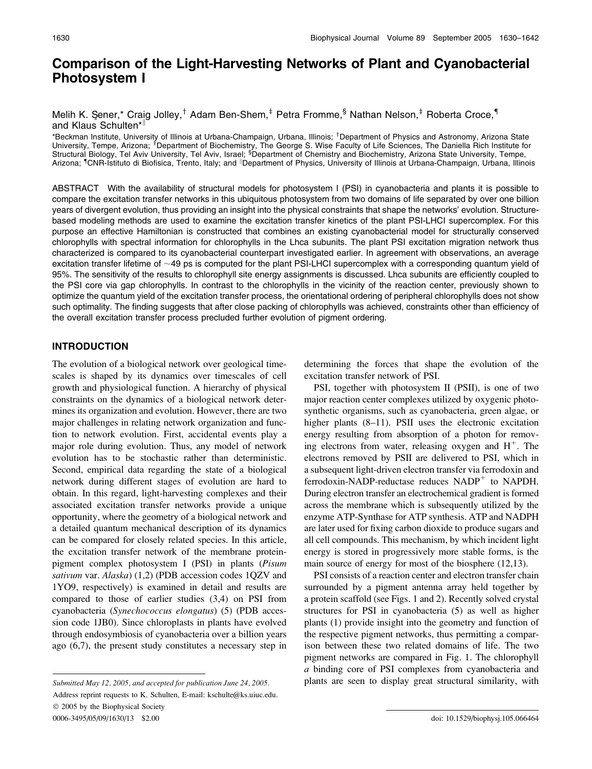# Comparison of the Light-Harvesting Networks of Plant and Cyanobacterial Photosystem I

# Melih K. Sener,\* Craig Jolley,<sup>†</sup> Adam Ben-Shem,<sup>‡</sup> Petra Fromme,§ Nathan Nelson,<sup>‡</sup> Roberta Croce,<sup>¶</sup> and Klaus Schulten\*<sup>||</sup>

\*Beckman Institute, University of Illinois at Urbana-Champaign, Urbana, Illinois; <sup>†</sup>Department of Physics and Astronomy, Arizona State University, Tempe, Arizona; <sup>£</sup>Department of Biochemistry, The George S. Wise Faculty of Life Sciences, The Daniella Rich Institute for<br>Structural Biology, Tel Aviv University, Tel Aviv, Israel; <sup>§</sup>Department of Chemistry Arizona; <sup>¶</sup>CNR-Istituto di Biofisica, Trento, Italy; and <sup>∥</sup>Department of Physics, University of Illinois at Urbana-Champaign, Urbana, Illinois

ABSTRACT With the availability of structural models for photosystem I (PSI) in cyanobacteria and plants it is possible to compare the excitation transfer networks in this ubiquitous photosystem from two domains of life separated by over one billion years of divergent evolution, thus providing an insight into the physical constraints that shape the networks' evolution. Structurebased modeling methods are used to examine the excitation transfer kinetics of the plant PSI-LHCI supercomplex. For this purpose an effective Hamiltonian is constructed that combines an existing cyanobacterial model for structurally conserved chlorophylls with spectral information for chlorophylls in the Lhca subunits. The plant PSI excitation migration network thus characterized is compared to its cyanobacterial counterpart investigated earlier. In agreement with observations, an average excitation transfer lifetime of  $\sim$ 49 ps is computed for the plant PSI-LHCI supercomplex with a corresponding quantum yield of 95%. The sensitivity of the results to chlorophyll site energy assignments is discussed. Lhca subunits are efficiently coupled to the PSI core via gap chlorophylls. In contrast to the chlorophylls in the vicinity of the reaction center, previously shown to optimize the quantum yield of the excitation transfer process, the orientational ordering of peripheral chlorophylls does not show such optimality. The finding suggests that after close packing of chlorophylls was achieved, constraints other than efficiency of the overall excitation transfer process precluded further evolution of pigment ordering.

# INTRODUCTION

The evolution of a biological network over geological timescales is shaped by its dynamics over timescales of cell growth and physiological function. A hierarchy of physical constraints on the dynamics of a biological network determines its organization and evolution. However, there are two major challenges in relating network organization and function to network evolution. First, accidental events play a major role during evolution. Thus, any model of network evolution has to be stochastic rather than deterministic. Second, empirical data regarding the state of a biological network during different stages of evolution are hard to obtain. In this regard, light-harvesting complexes and their associated excitation transfer networks provide a unique opportunity, where the geometry of a biological network and a detailed quantum mechanical description of its dynamics can be compared for closely related species. In this article, the excitation transfer network of the membrane proteinpigment complex photosystem I (PSI) in plants (Pisum sativum var. Alaska) (1,2) (PDB accession codes 1QZV and 1YO9, respectively) is examined in detail and results are compared to those of earlier studies (3,4) on PSI from cyanobacteria (Synechococcus elongatus) (5) (PDB accession code 1JB0). Since chloroplasts in plants have evolved through endosymbiosis of cyanobacteria over a billion years ago (6,7), the present study constitutes a necessary step in

Address reprint requests to K. Schulten, E-mail: kschulte@ks.uiuc.edu. 2005 by the Biophysical Society

determining the forces that shape the evolution of the excitation transfer network of PSI.

PSI, together with photosystem II (PSII), is one of two major reaction center complexes utilized by oxygenic photosynthetic organisms, such as cyanobacteria, green algae, or higher plants (8–11). PSII uses the electronic excitation energy resulting from absorption of a photon for removing electrons from water, releasing oxygen and  $H^+$ . The electrons removed by PSII are delivered to PSI, which in a subsequent light-driven electron transfer via ferrodoxin and ferrodoxin-NADP-reductase reduces  $NADP<sup>+</sup>$  to NAPDH. During electron transfer an electrochemical gradient is formed across the membrane which is subsequently utilized by the enzyme ATP-Synthase for ATP synthesis. ATP and NADPH are later used for fixing carbon dioxide to produce sugars and all cell compounds. This mechanism, by which incident light energy is stored in progressively more stable forms, is the main source of energy for most of the biosphere (12,13).

PSI consists of a reaction center and electron transfer chain surrounded by a pigment antenna array held together by a protein scaffold (see Figs. 1 and 2). Recently solved crystal structures for PSI in cyanobacteria (5) as well as higher plants (1) provide insight into the geometry and function of the respective pigment networks, thus permitting a comparison between these two related domains of life. The two pigment networks are compared in Fig. 1. The chlorophyll a binding core of PSI complexes from cyanobacteria and Submitted May 12, 2005, and accepted for publication June 24, 2005. plants are seen to display great structural similarity, with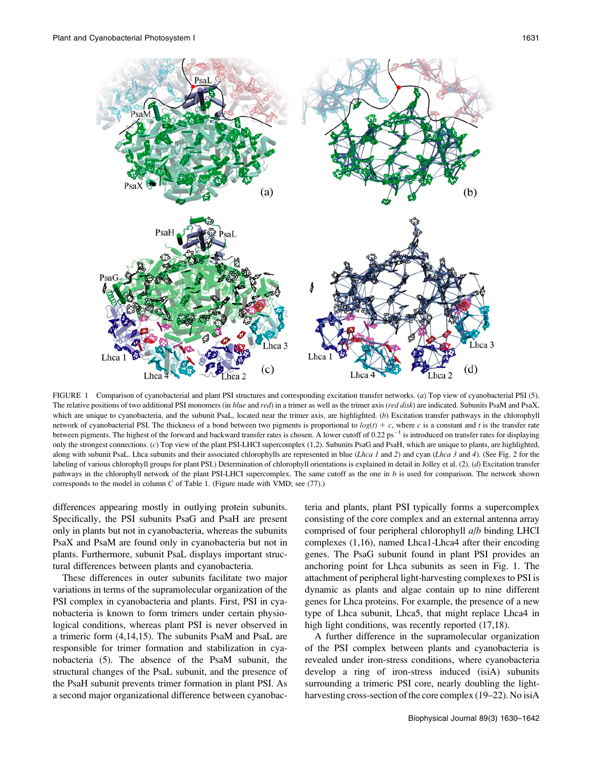

FIGURE 1 Comparison of cyanobacterial and plant PSI structures and corresponding excitation transfer networks. (a) Top view of cyanobacterial PSI (5). The relative positions of two additional PSI monomers (in blue and red) in a trimer as well as the trimer axis (red disk) are indicated. Subunits PsaM and PsaX, which are unique to cyanobacteria, and the subunit PsaL, located near the trimer axis, are highlighted. (b) Excitation transfer pathways in the chlorophyll network of cyanobacterial PSI. The thickness of a bond between two pigments is proportional to  $log(t) + c$ , where c is a constant and t is the transfer rate between pigments. The highest of the forward and backward transfer rates is chosen. A lower cutoff of  $0.22 \text{ ps}^{-1}$  is introduced on transfer rates for displaying only the strongest connections. (c) Top view of the plant PSI-LHCI supercomplex (1,2). Subunits PsaG and PsaH, which are unique to plants, are highlighted, along with subunit PsaL. Lhca subunits and their associated chlorophylls are represented in blue (*Lhca 1* and 2) and cyan (*Lhca 3* and 4). (See Fig. 2 for the labeling of various chlorophyll groups for plant PSI.) Determination of chlorophyll orientations is explained in detail in Jolley et al. (2). (d) Excitation transfer pathways in the chlorophyll network of the plant PSI-LHCI supercomplex. The same cutoff as the one in b is used for comparison. The network shown corresponds to the model in column C of Table 1. (Figure made with VMD; see (77).)

differences appearing mostly in outlying protein subunits. Specifically, the PSI subunits PsaG and PsaH are present only in plants but not in cyanobacteria, whereas the subunits PsaX and PsaM are found only in cyanobacteria but not in plants. Furthermore, subunit PsaL displays important structural differences between plants and cyanobacteria.

These differences in outer subunits facilitate two major variations in terms of the supramolecular organization of the PSI complex in cyanobacteria and plants. First, PSI in cyanobacteria is known to form trimers under certain physiological conditions, whereas plant PSI is never observed in a trimeric form (4,14,15). The subunits PsaM and PsaL are responsible for trimer formation and stabilization in cyanobacteria (5). The absence of the PsaM subunit, the structural changes of the PsaL subunit, and the presence of the PsaH subunit prevents trimer formation in plant PSI. As a second major organizational difference between cyanobac-

teria and plants, plant PSI typically forms a supercomplex consisting of the core complex and an external antenna array comprised of four peripheral chlorophyll a/b binding LHCI complexes (1,16), named Lhca1-Lhca4 after their encoding genes. The PsaG subunit found in plant PSI provides an anchoring point for Lhca subunits as seen in Fig. 1. The attachment of peripheral light-harvesting complexes to PSI is dynamic as plants and algae contain up to nine different genes for Lhca proteins. For example, the presence of a new type of Lhca subunit, Lhca5, that might replace Lhca4 in high light conditions, was recently reported  $(17,18)$ .

A further difference in the supramolecular organization of the PSI complex between plants and cyanobacteria is revealed under iron-stress conditions, where cyanobacteria develop a ring of iron-stress induced (isiA) subunits surrounding a trimeric PSI core, nearly doubling the lightharvesting cross-section of the core complex (19–22). No isiA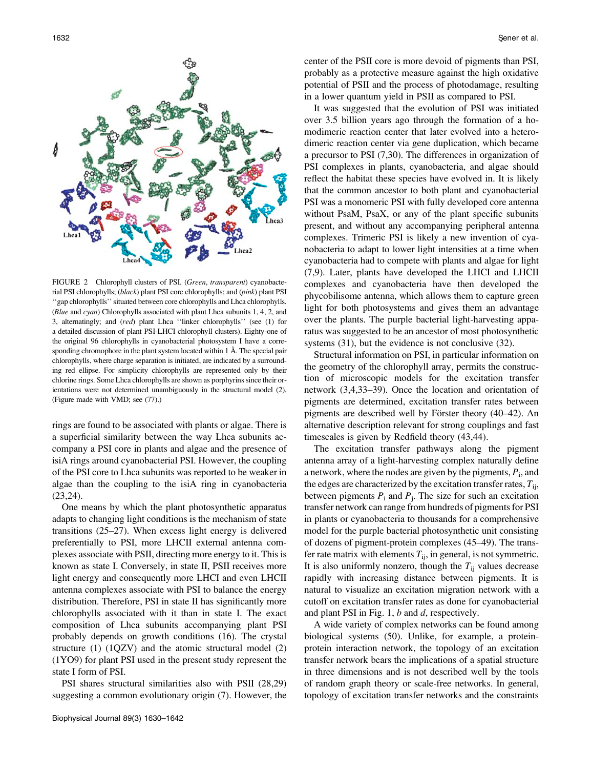

FIGURE 2 Chlorophyll clusters of PSI. (Green, transparent) cyanobacterial PSI chlorophylls; (black) plant PSI core chlorophylls; and (pink) plant PSI ''gap chlorophylls'' situated between core chlorophylls and Lhca chlorophylls. (Blue and cyan) Chlorophylls associated with plant Lhca subunits 1, 4, 2, and 3, alternatingly; and (red) plant Lhca ''linker chlorophylls'' (see (1) for a detailed discussion of plant PSI-LHCI chlorophyll clusters). Eighty-one of the original 96 chlorophylls in cyanobacterial photosystem I have a corresponding chromophore in the plant system located within  $1 \text{ Å}$ . The special pair chlorophylls, where charge separation is initiated, are indicated by a surrounding red ellipse. For simplicity chlorophylls are represented only by their chlorine rings. Some Lhca chlorophylls are shown as porphyrins since their orientations were not determined unambiguously in the structural model (2). (Figure made with VMD; see (77).)

rings are found to be associated with plants or algae. There is a superficial similarity between the way Lhca subunits accompany a PSI core in plants and algae and the presence of isiA rings around cyanobacterial PSI. However, the coupling of the PSI core to Lhca subunits was reported to be weaker in algae than the coupling to the isiA ring in cyanobacteria (23,24).

One means by which the plant photosynthetic apparatus adapts to changing light conditions is the mechanism of state transitions (25–27). When excess light energy is delivered preferentially to PSI, more LHCII external antenna complexes associate with PSII, directing more energy to it. This is known as state I. Conversely, in state II, PSII receives more light energy and consequently more LHCI and even LHCII antenna complexes associate with PSI to balance the energy distribution. Therefore, PSI in state II has significantly more chlorophylls associated with it than in state I. The exact composition of Lhca subunits accompanying plant PSI probably depends on growth conditions (16). The crystal structure (1) (1QZV) and the atomic structural model (2) (1YO9) for plant PSI used in the present study represent the state I form of PSI.

PSI shares structural similarities also with PSII (28,29) suggesting a common evolutionary origin (7). However, the center of the PSII core is more devoid of pigments than PSI, probably as a protective measure against the high oxidative potential of PSII and the process of photodamage, resulting in a lower quantum yield in PSII as compared to PSI.

It was suggested that the evolution of PSI was initiated over 3.5 billion years ago through the formation of a homodimeric reaction center that later evolved into a heterodimeric reaction center via gene duplication, which became a precursor to PSI (7,30). The differences in organization of PSI complexes in plants, cyanobacteria, and algae should reflect the habitat these species have evolved in. It is likely that the common ancestor to both plant and cyanobacterial PSI was a monomeric PSI with fully developed core antenna without PsaM, PsaX, or any of the plant specific subunits present, and without any accompanying peripheral antenna complexes. Trimeric PSI is likely a new invention of cyanobacteria to adapt to lower light intensities at a time when cyanobacteria had to compete with plants and algae for light (7,9). Later, plants have developed the LHCI and LHCII complexes and cyanobacteria have then developed the phycobilisome antenna, which allows them to capture green light for both photosystems and gives them an advantage over the plants. The purple bacterial light-harvesting apparatus was suggested to be an ancestor of most photosynthetic systems  $(31)$ , but the evidence is not conclusive  $(32)$ .

Structural information on PSI, in particular information on the geometry of the chlorophyll array, permits the construction of microscopic models for the excitation transfer network (3,4,33–39). Once the location and orientation of pigments are determined, excitation transfer rates between pigments are described well by Förster theory (40–42). An alternative description relevant for strong couplings and fast timescales is given by Redfield theory (43,44).

The excitation transfer pathways along the pigment antenna array of a light-harvesting complex naturally define a network, where the nodes are given by the pigments,  $P_i$ , and the edges are characterized by the excitation transfer rates,  $T_{ii}$ , between pigments  $P_i$  and  $P_j$ . The size for such an excitation transfer network can range from hundreds of pigments for PSI in plants or cyanobacteria to thousands for a comprehensive model for the purple bacterial photosynthetic unit consisting of dozens of pigment-protein complexes (45–49). The transfer rate matrix with elements  $T_{ij}$ , in general, is not symmetric. It is also uniformly nonzero, though the  $T_{ii}$  values decrease rapidly with increasing distance between pigments. It is natural to visualize an excitation migration network with a cutoff on excitation transfer rates as done for cyanobacterial and plant PSI in Fig. 1, b and d, respectively.

A wide variety of complex networks can be found among biological systems (50). Unlike, for example, a proteinprotein interaction network, the topology of an excitation transfer network bears the implications of a spatial structure in three dimensions and is not described well by the tools of random graph theory or scale-free networks. In general, topology of excitation transfer networks and the constraints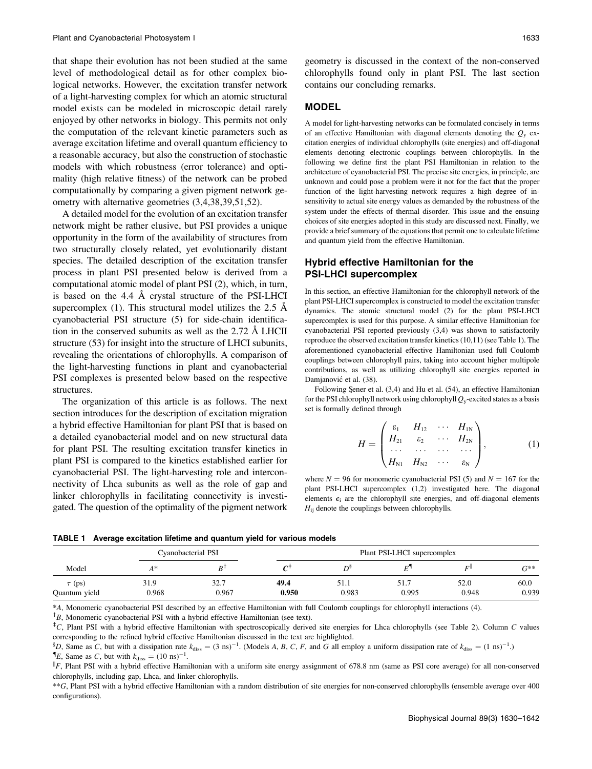that shape their evolution has not been studied at the same level of methodological detail as for other complex biological networks. However, the excitation transfer network of a light-harvesting complex for which an atomic structural model exists can be modeled in microscopic detail rarely enjoyed by other networks in biology. This permits not only the computation of the relevant kinetic parameters such as average excitation lifetime and overall quantum efficiency to a reasonable accuracy, but also the construction of stochastic models with which robustness (error tolerance) and optimality (high relative fitness) of the network can be probed computationally by comparing a given pigment network geometry with alternative geometries (3,4,38,39,51,52).

A detailed model for the evolution of an excitation transfer network might be rather elusive, but PSI provides a unique opportunity in the form of the availability of structures from two structurally closely related, yet evolutionarily distant species. The detailed description of the excitation transfer process in plant PSI presented below is derived from a computational atomic model of plant PSI (2), which, in turn, is based on the 4.4 Å crystal structure of the PSI-LHCI supercomplex (1). This structural model utilizes the 2.5  $\AA$ cyanobacterial PSI structure (5) for side-chain identification in the conserved subunits as well as the  $2.72 \text{ Å}$  LHCII structure (53) for insight into the structure of LHCI subunits, revealing the orientations of chlorophylls. A comparison of the light-harvesting functions in plant and cyanobacterial PSI complexes is presented below based on the respective structures.

The organization of this article is as follows. The next section introduces for the description of excitation migration a hybrid effective Hamiltonian for plant PSI that is based on a detailed cyanobacterial model and on new structural data for plant PSI. The resulting excitation transfer kinetics in plant PSI is compared to the kinetics established earlier for cyanobacterial PSI. The light-harvesting role and interconnectivity of Lhca subunits as well as the role of gap and linker chlorophylls in facilitating connectivity is investigated. The question of the optimality of the pigment network

geometry is discussed in the context of the non-conserved chlorophylls found only in plant PSI. The last section contains our concluding remarks.

#### MODEL

A model for light-harvesting networks can be formulated concisely in terms of an effective Hamiltonian with diagonal elements denoting the  $Q_y$  excitation energies of individual chlorophylls (site energies) and off-diagonal elements denoting electronic couplings between chlorophylls. In the following we define first the plant PSI Hamiltonian in relation to the architecture of cyanobacterial PSI. The precise site energies, in principle, are unknown and could pose a problem were it not for the fact that the proper function of the light-harvesting network requires a high degree of insensitivity to actual site energy values as demanded by the robustness of the system under the effects of thermal disorder. This issue and the ensuing choices of site energies adopted in this study are discussed next. Finally, we provide a brief summary of the equations that permit one to calculate lifetime and quantum yield from the effective Hamiltonian.

# Hybrid effective Hamiltonian for the PSI-LHCI supercomplex

In this section, an effective Hamiltonian for the chlorophyll network of the plant PSI-LHCI supercomplex is constructed to model the excitation transfer dynamics. The atomic structural model (2) for the plant PSI-LHCI supercomplex is used for this purpose. A similar effective Hamiltonian for cyanobacterial PSI reported previously (3,4) was shown to satisfactorily reproduce the observed excitation transfer kinetics (10,11) (see Table 1). The aforementioned cyanobacterial effective Hamiltonian used full Coulomb couplings between chlorophyll pairs, taking into account higher multipole contributions, as well as utilizing chlorophyll site energies reported in Damjanović et al. (38).

Following Şener et al. (3,4) and Hu et al. (54), an effective Hamiltonian for the PSI chlorophyll network using chlorophyll  $Q_y$ -excited states as a basis set is formally defined through

$$
H = \begin{pmatrix} \varepsilon_1 & H_{12} & \cdots & H_{1N} \\ H_{21} & \varepsilon_2 & \cdots & H_{2N} \\ \cdots & \cdots & \cdots & \cdots \\ H_{N1} & H_{N2} & \cdots & \varepsilon_N \end{pmatrix}, \quad (1)
$$

where  $N = 96$  for monomeric cyanobacterial PSI (5) and  $N = 167$  for the plant PSI-LHCI supercomplex (1,2) investigated here. The diagonal elements  $\epsilon_i$  are the chlorophyll site energies, and off-diagonal elements  $H_{ij}$  denote the couplings between chlorophylls.

TABLE 1 Average excitation lifetime and quantum yield for various models

| Model                        | Cyanobacterial PSI |               | Plant PSI-LHCI supercomplex |               |               |               |               |
|------------------------------|--------------------|---------------|-----------------------------|---------------|---------------|---------------|---------------|
|                              | $A^*$              | D             |                             | ηs            | -             | ΓI            | $G^{**}$      |
| $\tau$ (ps)<br>Quantum yield | 31.9<br>0.968      | 32.7<br>0.967 | 49.4<br>0.950               | 51.1<br>0.983 | 51.7<br>0.995 | 52.0<br>0.948 | 60.0<br>0.939 |

\*A, Monomeric cyanobacterial PSI described by an effective Hamiltonian with full Coulomb couplings for chlorophyll interactions (4).

 ${}^{\dagger}B$ , Monomeric cyanobacterial PSI with a hybrid effective Hamiltonian (see text).

 $\pm$ C, Plant PSI with a hybrid effective Hamiltonian with spectroscopically derived site energies for Lhca chlorophylls (see Table 2). Column C values corresponding to the refined hybrid effective Hamiltonian discussed in the text are highlighted.

<sup>§</sup>D, Same as C, but with a dissipation rate  $k_{diss} = (3 \text{ ns})^{-1}$ . (Models A, B, C, F, and G all employ a uniform dissipation rate of  $k_{diss} = (1 \text{ ns})^{-1}$ .)

E, Same as C, but with  $k_{\text{diss}} = (10 \text{ ns})^{-1}$ .

k F, Plant PSI with a hybrid effective Hamiltonian with a uniform site energy assignment of 678.8 nm (same as PSI core average) for all non-conserved chlorophylls, including gap, Lhca, and linker chlorophylls.

\*\*G, Plant PSI with a hybrid effective Hamiltonian with a random distribution of site energies for non-conserved chlorophylls (ensemble average over 400 configurations).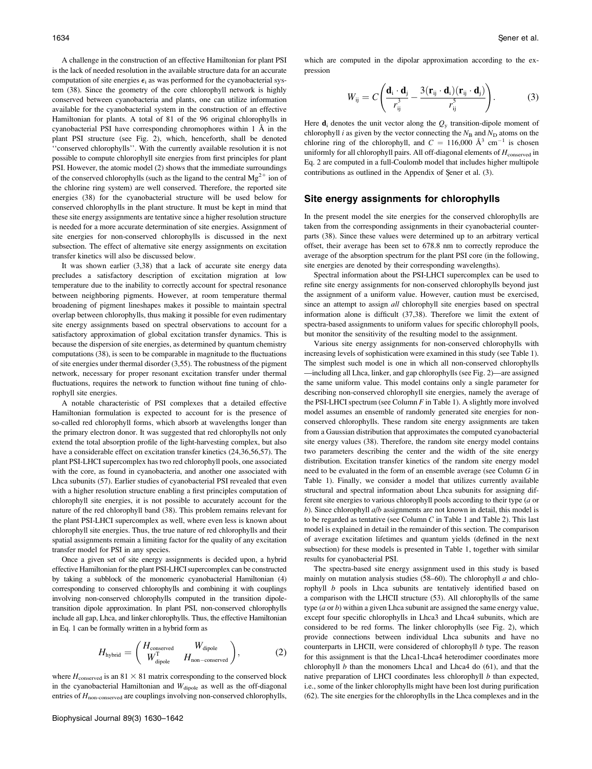A challenge in the construction of an effective Hamiltonian for plant PSI is the lack of needed resolution in the available structure data for an accurate computation of site energies  $\epsilon_i$  as was performed for the cyanobacterial system (38). Since the geometry of the core chlorophyll network is highly conserved between cyanobacteria and plants, one can utilize information available for the cyanobacterial system in the construction of an effective Hamiltonian for plants. A total of 81 of the 96 original chlorophylls in cyanobacterial PSI have corresponding chromophores within  $1 \text{ Å}$  in the plant PSI structure (see Fig. 2), which, henceforth, shall be denoted ''conserved chlorophylls''. With the currently available resolution it is not possible to compute chlorophyll site energies from first principles for plant PSI. However, the atomic model (2) shows that the immediate surroundings of the conserved chlorophylls (such as the ligand to the central  $Mg^{2+}$  ion of the chlorine ring system) are well conserved. Therefore, the reported site energies (38) for the cyanobacterial structure will be used below for conserved chlorophylls in the plant structure. It must be kept in mind that these site energy assignments are tentative since a higher resolution structure is needed for a more accurate determination of site energies. Assignment of site energies for non-conserved chlorophylls is discussed in the next subsection. The effect of alternative site energy assignments on excitation transfer kinetics will also be discussed below.

It was shown earlier (3,38) that a lack of accurate site energy data precludes a satisfactory description of excitation migration at low temperature due to the inability to correctly account for spectral resonance between neighboring pigments. However, at room temperature thermal broadening of pigment lineshapes makes it possible to maintain spectral overlap between chlorophylls, thus making it possible for even rudimentary site energy assignments based on spectral observations to account for a satisfactory approximation of global excitation transfer dynamics. This is because the dispersion of site energies, as determined by quantum chemistry computations (38), is seen to be comparable in magnitude to the fluctuations of site energies under thermal disorder (3,55). The robustness of the pigment network, necessary for proper resonant excitation transfer under thermal fluctuations, requires the network to function without fine tuning of chlorophyll site energies.

A notable characteristic of PSI complexes that a detailed effective Hamiltonian formulation is expected to account for is the presence of so-called red chlorophyll forms, which absorb at wavelengths longer than the primary electron donor. It was suggested that red chlorophylls not only extend the total absorption profile of the light-harvesting complex, but also have a considerable effect on excitation transfer kinetics (24,36,56,57). The plant PSI-LHCI supercomplex has two red chlorophyll pools, one associated with the core, as found in cyanobacteria, and another one associated with Lhca subunits (57). Earlier studies of cyanobacterial PSI revealed that even with a higher resolution structure enabling a first principles computation of chlorophyll site energies, it is not possible to accurately account for the nature of the red chlorophyll band (38). This problem remains relevant for the plant PSI-LHCI supercomplex as well, where even less is known about chlorophyll site energies. Thus, the true nature of red chlorophylls and their spatial assignments remain a limiting factor for the quality of any excitation transfer model for PSI in any species.

Once a given set of site energy assignments is decided upon, a hybrid effective Hamiltonian for the plant PSI-LHCI supercomplex can be constructed by taking a subblock of the monomeric cyanobacterial Hamiltonian (4) corresponding to conserved chlorophylls and combining it with couplings involving non-conserved chlorophylls computed in the transition dipoletransition dipole approximation. In plant PSI, non-conserved chlorophylls include all gap, Lhca, and linker chlorophylls. Thus, the effective Hamiltonian in Eq. 1 can be formally written in a hybrid form as

$$
H_{\text{hybrid}} = \begin{pmatrix} H_{\text{conserved}} & W_{\text{dipole}} \\ W_{\text{dipole}}^{\text{T}} & H_{\text{non-conserved}} \end{pmatrix},\tag{2}
$$

where  $H_{\text{conserved}}$  is an 81  $\times$  81 matrix corresponding to the conserved block in the cyanobacterial Hamiltonian and  $W_{\text{dipole}}$  as well as the off-diagonal entries of  $H_{\text{non-conserved}}$  are couplings involving non-conserved chlorophylls, which are computed in the dipolar approximation according to the expression

$$
W_{ij} = C \left( \frac{\mathbf{d}_i \cdot \mathbf{d}_j}{r_{ij}^3} - \frac{3(\mathbf{r}_{ij} \cdot \mathbf{d}_i)(\mathbf{r}_{ij} \cdot \mathbf{d}_j)}{r_{ij}^5} \right). \tag{3}
$$

Here  $\mathbf{d}_i$  denotes the unit vector along the  $Q_y$  transition-dipole moment of chlorophyll *i* as given by the vector connecting the  $N_B$  and  $N_D$  atoms on the chlorine ring of the chlorophyll, and  $C = 116,000 \text{ Å}^3 \text{ cm}^{-1}$  is chosen uniformly for all chlorophyll pairs. All off-diagonal elements of  $H_{\text{conserved}}$  in Eq. 2 are computed in a full-Coulomb model that includes higher multipole contributions as outlined in the Appendix of Şener et al. (3).

#### Site energy assignments for chlorophylls

In the present model the site energies for the conserved chlorophylls are taken from the corresponding assignments in their cyanobacterial counterparts (38). Since these values were determined up to an arbitrary vertical offset, their average has been set to 678.8 nm to correctly reproduce the average of the absorption spectrum for the plant PSI core (in the following, site energies are denoted by their corresponding wavelengths).

Spectral information about the PSI-LHCI supercomplex can be used to refine site energy assignments for non-conserved chlorophylls beyond just the assignment of a uniform value. However, caution must be exercised, since an attempt to assign all chlorophyll site energies based on spectral information alone is difficult (37,38). Therefore we limit the extent of spectra-based assignments to uniform values for specific chlorophyll pools, but monitor the sensitivity of the resulting model to the assignment.

Various site energy assignments for non-conserved chlorophylls with increasing levels of sophistication were examined in this study (see Table 1). The simplest such model is one in which all non-conserved chlorophylls —including all Lhca, linker, and gap chlorophylls (see Fig. 2)—are assigned the same uniform value. This model contains only a single parameter for describing non-conserved chlorophyll site energies, namely the average of the PSI-LHCI spectrum (see Column  $F$  in Table 1). A slightly more involved model assumes an ensemble of randomly generated site energies for nonconserved chlorophylls. These random site energy assignments are taken from a Gaussian distribution that approximates the computed cyanobacterial site energy values (38). Therefore, the random site energy model contains two parameters describing the center and the width of the site energy distribution. Excitation transfer kinetics of the random site energy model need to be evaluated in the form of an ensemble average (see Column G in Table 1). Finally, we consider a model that utilizes currently available structural and spectral information about Lhca subunits for assigning different site energies to various chlorophyll pools according to their type (a or b). Since chlorophyll  $a/b$  assignments are not known in detail, this model is to be regarded as tentative (see Column  $C$  in Table 1 and Table 2). This last model is explained in detail in the remainder of this section. The comparison of average excitation lifetimes and quantum yields (defined in the next subsection) for these models is presented in Table 1, together with similar results for cyanobacterial PSI.

The spectra-based site energy assignment used in this study is based mainly on mutation analysis studies (58-60). The chlorophyll  $a$  and chlorophyll b pools in Lhca subunits are tentatively identified based on a comparison with the LHCII structure (53). All chlorophylls of the same type  $(a \text{ or } b)$  within a given Lhca subunit are assigned the same energy value, except four specific chlorophylls in Lhca3 and Lhca4 subunits, which are considered to be red forms. The linker chlorophylls (see Fig. 2), which provide connections between individual Lhca subunits and have no counterparts in LHCII, were considered of chlorophyll b type. The reason for this assignment is that the Lhca1-Lhca4 heterodimer coordinates more chlorophyll  $b$  than the monomers Lhca1 and Lhca4 do  $(61)$ , and that the native preparation of LHCI coordinates less chlorophyll  $b$  than expected, i.e., some of the linker chlorophylls might have been lost during purification (62). The site energies for the chlorophylls in the Lhca complexes and in the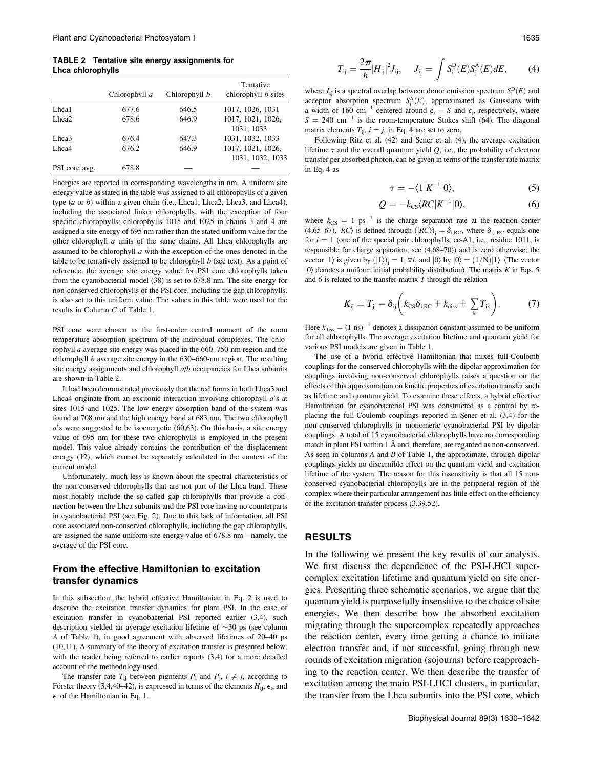TABLE 2 Tentative site energy assignments for Lhca chlorophylls

|                   | Chlorophyll a | Chlorophyll b | Tentative<br>chlorophyll $b$ sites    |
|-------------------|---------------|---------------|---------------------------------------|
| Lhca1             | 677.6         | 646.5         | 1017, 1026, 1031                      |
| Lhca <sub>2</sub> | 678.6         | 646.9         | 1017, 1021, 1026,<br>1031, 1033       |
| Lhca3             | 676.4         | 647.3         | 1031, 1032, 1033                      |
| Lhca4             | 676.2         | 646.9         | 1017, 1021, 1026,<br>1031, 1032, 1033 |
| PSI core avg.     | 678.8         |               |                                       |

Energies are reported in corresponding wavelengths in nm. A uniform site energy value as stated in the table was assigned to all chlorophylls of a given type (a or b) within a given chain (i.e., Lhca1, Lhca2, Lhca3, and Lhca4), including the associated linker chlorophylls, with the exception of four specific chlorophylls; chlorophylls 1015 and 1025 in chains 3 and 4 are assigned a site energy of 695 nm rather than the stated uniform value for the other chlorophyll  $a$  units of the same chains. All Lhca chlorophylls are assumed to be chlorophyll  $a$  with the exception of the ones denoted in the table to be tentatively assigned to be chlorophyll  $b$  (see text). As a point of reference, the average site energy value for PSI core chlorophylls taken from the cyanobacterial model (38) is set to 678.8 nm. The site energy for non-conserved chlorophylls of the PSI core, including the gap chlorophylls, is also set to this uniform value. The values in this table were used for the results in Column C of Table 1.

PSI core were chosen as the first-order central moment of the room temperature absorption spectrum of the individual complexes. The chlorophyll a average site energy was placed in the 660–750-nm region and the chlorophyll b average site energy in the 630–660-nm region. The resulting site energy assignments and chlorophyll  $a/b$  occupancies for Lhca subunits are shown in Table 2.

It had been demonstrated previously that the red forms in both Lhca3 and Lhca4 originate from an excitonic interaction involving chlorophyll a's at sites 1015 and 1025. The low energy absorption band of the system was found at 708 nm and the high energy band at 683 nm. The two chlorophyll  $a$ 's were suggested to be isoenergetic (60,63). On this basis, a site energy value of 695 nm for these two chlorophylls is employed in the present model. This value already contains the contribution of the displacement energy (12), which cannot be separately calculated in the context of the current model.

Unfortunately, much less is known about the spectral characteristics of the non-conserved chlorophylls that are not part of the Lhca band. These most notably include the so-called gap chlorophylls that provide a connection between the Lhca subunits and the PSI core having no counterparts in cyanobacterial PSI (see Fig. 2). Due to this lack of information, all PSI core associated non-conserved chlorophylls, including the gap chlorophylls, are assigned the same uniform site energy value of 678.8 nm—namely, the average of the PSI core.

## From the effective Hamiltonian to excitation transfer dynamics

In this subsection, the hybrid effective Hamiltonian in Eq. 2 is used to describe the excitation transfer dynamics for plant PSI. In the case of excitation transfer in cyanobacterial PSI reported earlier (3,4), such description yielded an average excitation lifetime of  $\sim$ 30 ps (see column A of Table 1), in good agreement with observed lifetimes of 20–40 ps (10,11). A summary of the theory of excitation transfer is presented below, with the reader being referred to earlier reports (3,4) for a more detailed account of the methodology used.

The transfer rate  $T_{ii}$  between pigments  $P_i$  and  $P_i$ ,  $i \neq j$ , according to Förster theory (3,4,40–42), is expressed in terms of the elements  $H_{ii}$ ,  $\epsilon_i$ , and  $\epsilon_i$  of the Hamiltonian in Eq. 1,

$$
T_{ij} = \frac{2\pi}{\hbar} |H_{ij}|^2 J_{ij}, \quad J_{ij} = \int S_i^{D}(E) S_j^{A}(E) dE, \quad (4)
$$

where  $J_{ij}$  is a spectral overlap between donor emission spectrum  $S_i^D(E)$  and acceptor absorption spectrum  $S_j^A(E)$ , approximated as Gaussians with a width of 160 cm<sup>-1</sup> centered around  $\epsilon_i$  – S and  $\epsilon_j$ , respectively, where  $S = 240$  cm<sup>-1</sup> is the room-temperature Stokes shift (64). The diagonal matrix elements  $T_{ii}$ ,  $i = j$ , in Eq. 4 are set to zero.

Following Ritz et al.  $(42)$  and Şener et al.  $(4)$ , the average excitation lifetime  $\tau$  and the overall quantum yield Q, i.e., the probability of electron transfer per absorbed photon, can be given in terms of the transfer rate matrix in Eq. 4 as

$$
\tau = -\langle 1|K^{-1}|0\rangle,\tag{5}
$$

$$
Q = -k_{\text{CS}} \langle RC|K^{-1}|0\rangle,\tag{6}
$$

where  $k_{\text{CS}} = 1 \text{ ps}^{-1}$  is the charge separation rate at the reaction center (4,65–67),  $|RC\rangle$  is defined through  $(|RC\rangle)_i = \delta_{i,RC}$ , where  $\delta_{i,RC}$  equals one for  $i = 1$  (one of the special pair chlorophylls, ec-A1, i.e., residue 1011, is responsible for charge separation; see (4,68–70)) and is zero otherwise; the vector  $|1\rangle$  is given by  $(|1\rangle)_i = 1, \forall i$ , and  $|0\rangle$  by  $|0\rangle = (1/N)|1\rangle$ . (The vector  $|0\rangle$  denotes a uniform initial probability distribution). The matrix K in Eqs. 5 and  $6$  is related to the transfer matrix  $T$  through the relation

$$
K_{ij} = T_{ji} - \delta_{ij} \left( k_{\text{CS}} \delta_{i,\text{RC}} + k_{\text{diss}} + \sum_{k} T_{ik} \right). \tag{7}
$$

Here  $k_{\text{diss}} = (1 \text{ ns})^{-1}$  denotes a dissipation constant assumed to be uniform for all chlorophylls. The average excitation lifetime and quantum yield for various PSI models are given in Table 1.

The use of a hybrid effective Hamiltonian that mixes full-Coulomb couplings for the conserved chlorophylls with the dipolar approximation for couplings involving non-conserved chlorophylls raises a question on the effects of this approximation on kinetic properties of excitation transfer such as lifetime and quantum yield. To examine these effects, a hybrid effective Hamiltonian for cyanobacterial PSI was constructed as a control by replacing the full-Coulomb couplings reported in Sener et al.  $(3,4)$  for the non-conserved chlorophylls in monomeric cyanobacterial PSI by dipolar couplings. A total of 15 cyanobacterial chlorophylls have no corresponding match in plant PSI within  $1 \text{ Å}$  and, therefore, are regarded as non-conserved. As seen in columns  $A$  and  $B$  of Table 1, the approximate, through dipolar couplings yields no discernible effect on the quantum yield and excitation lifetime of the system. The reason for this insensitivity is that all 15 nonconserved cyanobacterial chlorophylls are in the peripheral region of the complex where their particular arrangement has little effect on the efficiency of the excitation transfer process (3,39,52).

#### RESULTS

In the following we present the key results of our analysis. We first discuss the dependence of the PSI-LHCI supercomplex excitation lifetime and quantum yield on site energies. Presenting three schematic scenarios, we argue that the quantum yield is purposefully insensitive to the choice of site energies. We then describe how the absorbed excitation migrating through the supercomplex repeatedly approaches the reaction center, every time getting a chance to initiate electron transfer and, if not successful, going through new rounds of excitation migration (sojourns) before reapproaching to the reaction center. We then describe the transfer of excitation among the main PSI-LHCI clusters, in particular, the transfer from the Lhca subunits into the PSI core, which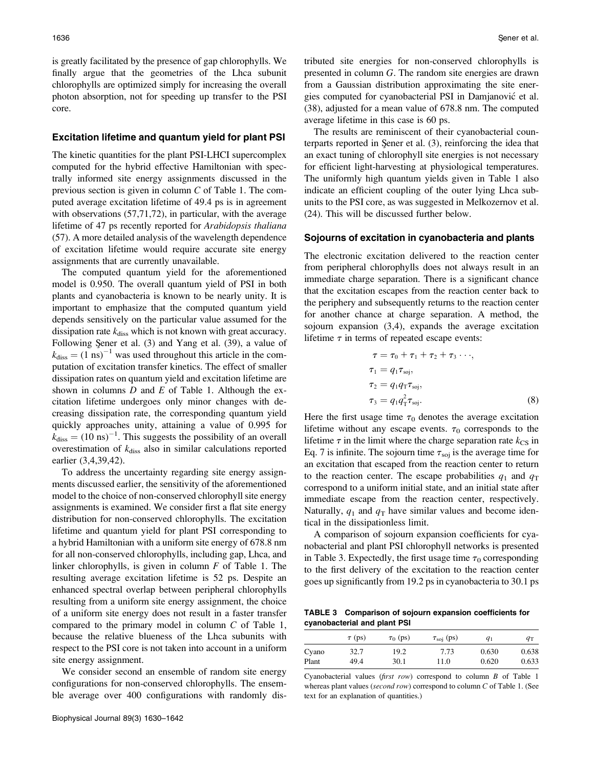is greatly facilitated by the presence of gap chlorophylls. We finally argue that the geometries of the Lhca subunit chlorophylls are optimized simply for increasing the overall photon absorption, not for speeding up transfer to the PSI core.

#### Excitation lifetime and quantum yield for plant PSI

The kinetic quantities for the plant PSI-LHCI supercomplex computed for the hybrid effective Hamiltonian with spectrally informed site energy assignments discussed in the previous section is given in column C of Table 1. The computed average excitation lifetime of 49.4 ps is in agreement with observations (57,71,72), in particular, with the average lifetime of 47 ps recently reported for Arabidopsis thaliana (57). A more detailed analysis of the wavelength dependence of excitation lifetime would require accurate site energy assignments that are currently unavailable.

The computed quantum yield for the aforementioned model is 0.950. The overall quantum yield of PSI in both plants and cyanobacteria is known to be nearly unity. It is important to emphasize that the computed quantum yield depends sensitively on the particular value assumed for the dissipation rate  $k_{\text{diss}}$  which is not known with great accuracy. Following Şener et al. (3) and Yang et al. (39), a value of  $k_{\text{diss}} = (1 \text{ ns})^{-1}$  was used throughout this article in the computation of excitation transfer kinetics. The effect of smaller dissipation rates on quantum yield and excitation lifetime are shown in columns  $D$  and  $E$  of Table 1. Although the excitation lifetime undergoes only minor changes with decreasing dissipation rate, the corresponding quantum yield quickly approaches unity, attaining a value of 0.995 for  $k_{\text{diss}} = (10 \text{ ns})^{-1}$ . This suggests the possibility of an overall overestimation of  $k_{\text{diss}}$  also in similar calculations reported earlier (3,4,39,42).

To address the uncertainty regarding site energy assignments discussed earlier, the sensitivity of the aforementioned model to the choice of non-conserved chlorophyll site energy assignments is examined. We consider first a flat site energy distribution for non-conserved chlorophylls. The excitation lifetime and quantum yield for plant PSI corresponding to a hybrid Hamiltonian with a uniform site energy of 678.8 nm for all non-conserved chlorophylls, including gap, Lhca, and linker chlorophylls, is given in column  $F$  of Table 1. The resulting average excitation lifetime is 52 ps. Despite an enhanced spectral overlap between peripheral chlorophylls resulting from a uniform site energy assignment, the choice of a uniform site energy does not result in a faster transfer compared to the primary model in column C of Table 1, because the relative blueness of the Lhca subunits with respect to the PSI core is not taken into account in a uniform site energy assignment.

We consider second an ensemble of random site energy configurations for non-conserved chlorophylls. The ensemble average over 400 configurations with randomly distributed site energies for non-conserved chlorophylls is presented in column G. The random site energies are drawn from a Gaussian distribution approximating the site energies computed for cyanobacterial PSI in Damjanović et al. (38), adjusted for a mean value of 678.8 nm. The computed average lifetime in this case is 60 ps.

The results are reminiscent of their cyanobacterial counterparts reported in Sener et al.  $(3)$ , reinforcing the idea that an exact tuning of chlorophyll site energies is not necessary for efficient light-harvesting at physiological temperatures. The uniformly high quantum yields given in Table 1 also indicate an efficient coupling of the outer lying Lhca subunits to the PSI core, as was suggested in Melkozernov et al. (24). This will be discussed further below.

#### Sojourns of excitation in cyanobacteria and plants

The electronic excitation delivered to the reaction center from peripheral chlorophylls does not always result in an immediate charge separation. There is a significant chance that the excitation escapes from the reaction center back to the periphery and subsequently returns to the reaction center for another chance at charge separation. A method, the sojourn expansion (3,4), expands the average excitation lifetime  $\tau$  in terms of repeated escape events:

$$
\tau = \tau_0 + \tau_1 + \tau_2 + \tau_3 \cdots,
$$
  
\n
$$
\tau_1 = q_1 \tau_{soj},
$$
  
\n
$$
\tau_2 = q_1 q_{\tau} \tau_{soj},
$$
  
\n
$$
\tau_3 = q_1 q_{\tau}^2 \tau_{soj}.
$$
  
\n(8)

Here the first usage time  $\tau_0$  denotes the average excitation lifetime without any escape events.  $\tau_0$  corresponds to the lifetime  $\tau$  in the limit where the charge separation rate  $k_{\text{CS}}$  in Eq. 7 is infinite. The sojourn time  $\tau_{\text{soj}}$  is the average time for an excitation that escaped from the reaction center to return to the reaction center. The escape probabilities  $q_1$  and  $q_T$ correspond to a uniform initial state, and an initial state after immediate escape from the reaction center, respectively. Naturally,  $q_1$  and  $q_T$  have similar values and become identical in the dissipationless limit.

A comparison of sojourn expansion coefficients for cyanobacterial and plant PSI chlorophyll networks is presented in Table 3. Expectedly, the first usage time  $\tau_0$  corresponding to the first delivery of the excitation to the reaction center goes up significantly from 19.2 ps in cyanobacteria to 30.1 ps

TABLE 3 Comparison of sojourn expansion coefficients for cyanobacterial and plant PSI

|       | $\tau$ (ps) | $\tau_0$ (ps) | $\tau_{\rm soi}$ (ps) | $q_1$ | $q_T$ |
|-------|-------------|---------------|-----------------------|-------|-------|
| Cyano | 32.7        | 19.2          | 7.73                  | 0.630 | 0.638 |
| Plant | 49.4        | 30.1          | 11.0                  | 0.620 | 0.633 |

Cyanobacterial values (first row) correspond to column  $B$  of Table 1 whereas plant values (second row) correspond to column C of Table 1. (See text for an explanation of quantities.)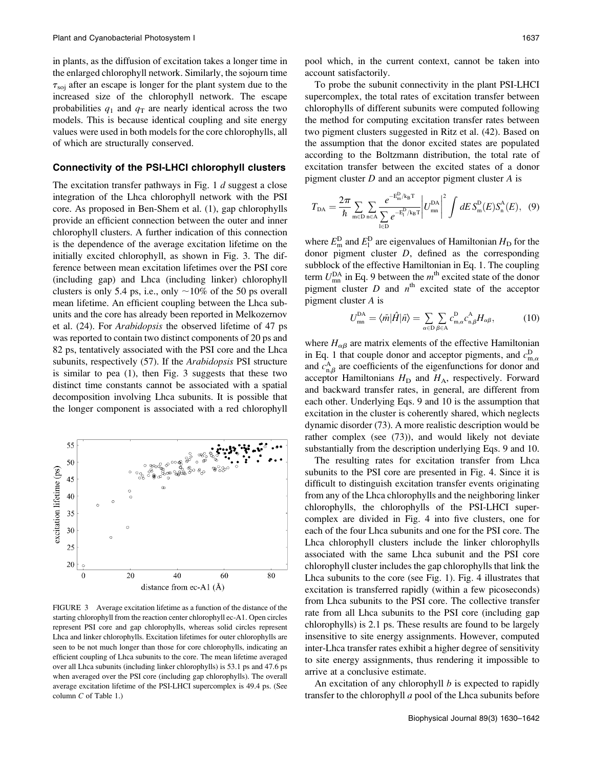in plants, as the diffusion of excitation takes a longer time in the enlarged chlorophyll network. Similarly, the sojourn time  $\tau_{\text{sol}}$  after an escape is longer for the plant system due to the increased size of the chlorophyll network. The escape probabilities  $q_1$  and  $q_T$  are nearly identical across the two models. This is because identical coupling and site energy values were used in both models for the core chlorophylls, all of which are structurally conserved.

#### Connectivity of the PSI-LHCI chlorophyll clusters

The excitation transfer pathways in Fig. 1 d suggest a close integration of the Lhca chlorophyll network with the PSI core. As proposed in Ben-Shem et al. (1), gap chlorophylls provide an efficient connection between the outer and inner chlorophyll clusters. A further indication of this connection is the dependence of the average excitation lifetime on the initially excited chlorophyll, as shown in Fig. 3. The difference between mean excitation lifetimes over the PSI core (including gap) and Lhca (including linker) chlorophyll clusters is only 5.4 ps, i.e., only  $\sim$ 10% of the 50 ps overall mean lifetime. An efficient coupling between the Lhca subunits and the core has already been reported in Melkozernov et al. (24). For Arabidopsis the observed lifetime of 47 ps was reported to contain two distinct components of 20 ps and 82 ps, tentatively associated with the PSI core and the Lhca subunits, respectively (57). If the *Arabidopsis* PSI structure is similar to pea (1), then Fig. 3 suggests that these two distinct time constants cannot be associated with a spatial decomposition involving Lhca subunits. It is possible that the longer component is associated with a red chlorophyll



FIGURE 3 Average excitation lifetime as a function of the distance of the starting chlorophyll from the reaction center chlorophyll ec-A1. Open circles represent PSI core and gap chlorophylls, whereas solid circles represent Lhca and linker chlorophylls. Excitation lifetimes for outer chlorophylls are seen to be not much longer than those for core chlorophylls, indicating an efficient coupling of Lhca subunits to the core. The mean lifetime averaged over all Lhca subunits (including linker chlorophylls) is 53.1 ps and 47.6 ps when averaged over the PSI core (including gap chlorophylls). The overall average excitation lifetime of the PSI-LHCI supercomplex is 49.4 ps. (See column C of Table 1.)

pool which, in the current context, cannot be taken into account satisfactorily.

To probe the subunit connectivity in the plant PSI-LHCI supercomplex, the total rates of excitation transfer between chlorophylls of different subunits were computed following the method for computing excitation transfer rates between two pigment clusters suggested in Ritz et al. (42). Based on the assumption that the donor excited states are populated according to the Boltzmann distribution, the total rate of excitation transfer between the excited states of a donor pigment cluster D and an acceptor pigment cluster A is

$$
T_{\text{DA}} = \frac{2\pi}{\hbar} \sum_{\mathbf{m} \in \mathbf{D}} \sum_{\mathbf{n} \in \mathbf{A}} \frac{e^{-\mathbf{E}_{\mathbf{m}}^{\mathbf{D}} / \mathbf{k}_{\mathbf{B}} \mathbf{T}}}{\sum_{\mathbf{l} \in \mathbf{D}} e^{-\mathbf{E}_{\mathbf{l}}^{\mathbf{D}} / \mathbf{k}_{\mathbf{B}} \mathbf{T}}} \left| U_{\mathbf{m}\mathbf{n}}^{\mathbf{D}\mathbf{A}} \right|^2 \int dE S_{\mathbf{m}}^{\mathbf{D}}(E) S_{\mathbf{n}}^{\mathbf{A}}(E), \quad (9)
$$

where  $E_{\rm m}^{\rm D}$  and  $E_{\rm l}^{\rm D}$  are eigenvalues of Hamiltonian  $H_{\rm D}$  for the donor pigment cluster  $D$ , defined as the corresponding subblock of the effective Hamiltonian in Eq. 1. The coupling term  $U_{mn}^{\text{DA}}$  in Eq. 9 between the  $m^{\text{th}}$  excited state of the donor pigment cluster  $D$  and  $n<sup>th</sup>$  excited state of the acceptor pigment cluster A is

$$
U_{mn}^{\text{DA}} = \langle \tilde{m} | \hat{H} | \tilde{n} \rangle = \sum_{\alpha \in \text{D}} \sum_{\beta \in \text{A}} c_{m,\alpha}^{\text{D}} c_{n,\beta}^{\text{A}} H_{\alpha\beta}, \tag{10}
$$

where  $H_{\alpha\beta}$  are matrix elements of the effective Hamiltonian in Eq. 1 that couple donor and acceptor pigments, and  $c_{m,\alpha}^{D}$ and  $c_{n,\beta}^{A}$  are coefficients of the eigenfunctions for donor and acceptor Hamiltonians  $H_D$  and  $H_A$ , respectively. Forward and backward transfer rates, in general, are different from each other. Underlying Eqs. 9 and 10 is the assumption that excitation in the cluster is coherently shared, which neglects dynamic disorder (73). A more realistic description would be rather complex (see (73)), and would likely not deviate substantially from the description underlying Eqs. 9 and 10.

The resulting rates for excitation transfer from Lhca subunits to the PSI core are presented in Fig. 4. Since it is difficult to distinguish excitation transfer events originating from any of the Lhca chlorophylls and the neighboring linker chlorophylls, the chlorophylls of the PSI-LHCI supercomplex are divided in Fig. 4 into five clusters, one for each of the four Lhca subunits and one for the PSI core. The Lhca chlorophyll clusters include the linker chlorophylls associated with the same Lhca subunit and the PSI core chlorophyll cluster includes the gap chlorophylls that link the Lhca subunits to the core (see Fig. 1). Fig. 4 illustrates that excitation is transferred rapidly (within a few picoseconds) from Lhca subunits to the PSI core. The collective transfer rate from all Lhca subunits to the PSI core (including gap chlorophylls) is 2.1 ps. These results are found to be largely insensitive to site energy assignments. However, computed inter-Lhca transfer rates exhibit a higher degree of sensitivity to site energy assignments, thus rendering it impossible to arrive at a conclusive estimate.

An excitation of any chlorophyll  $b$  is expected to rapidly transfer to the chlorophyll  $a$  pool of the Lhca subunits before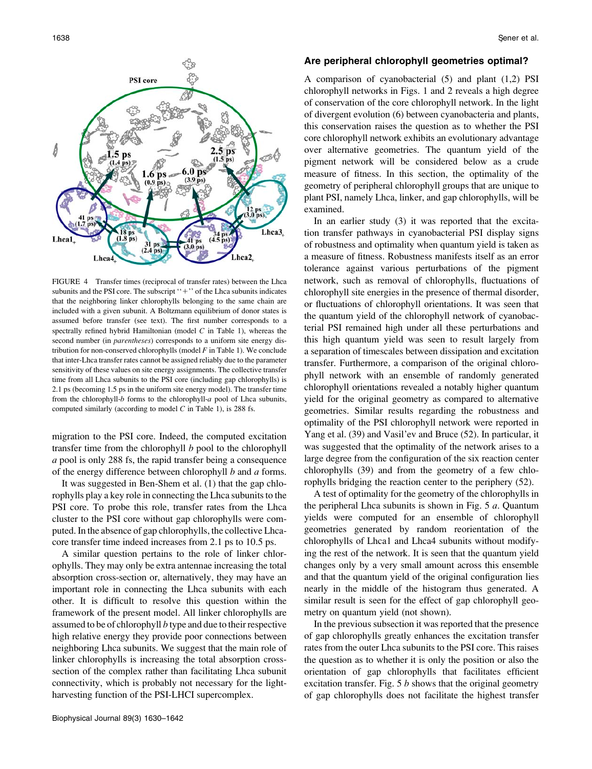

FIGURE 4 Transfer times (reciprocal of transfer rates) between the Lhca subunits and the PSI core. The subscript  $'$ +" of the Lhca subunits indicates that the neighboring linker chlorophylls belonging to the same chain are included with a given subunit. A Boltzmann equilibrium of donor states is assumed before transfer (see text). The first number corresponds to a spectrally refined hybrid Hamiltonian (model  $C$  in Table 1), whereas the second number (in parentheses) corresponds to a uniform site energy distribution for non-conserved chlorophylls (model  $F$  in Table 1). We conclude that inter-Lhca transfer rates cannot be assigned reliably due to the parameter sensitivity of these values on site energy assignments. The collective transfer time from all Lhca subunits to the PSI core (including gap chlorophylls) is 2.1 ps (becoming 1.5 ps in the uniform site energy model). The transfer time from the chlorophyll-b forms to the chlorophyll-a pool of Lhca subunits, computed similarly (according to model  $C$  in Table 1), is 288 fs.

migration to the PSI core. Indeed, the computed excitation transfer time from the chlorophyll  $b$  pool to the chlorophyll a pool is only 288 fs, the rapid transfer being a consequence of the energy difference between chlorophyll  $b$  and  $a$  forms.

It was suggested in Ben-Shem et al. (1) that the gap chlorophylls play a key role in connecting the Lhca subunits to the PSI core. To probe this role, transfer rates from the Lhca cluster to the PSI core without gap chlorophylls were computed. In the absence of gap chlorophylls, the collective Lhcacore transfer time indeed increases from 2.1 ps to 10.5 ps.

A similar question pertains to the role of linker chlorophylls. They may only be extra antennae increasing the total absorption cross-section or, alternatively, they may have an important role in connecting the Lhca subunits with each other. It is difficult to resolve this question within the framework of the present model. All linker chlorophylls are assumed to be of chlorophyll b type and due to their respective high relative energy they provide poor connections between neighboring Lhca subunits. We suggest that the main role of linker chlorophylls is increasing the total absorption crosssection of the complex rather than facilitating Lhca subunit connectivity, which is probably not necessary for the lightharvesting function of the PSI-LHCI supercomplex.

#### Are peripheral chlorophyll geometries optimal?

A comparison of cyanobacterial (5) and plant (1,2) PSI chlorophyll networks in Figs. 1 and 2 reveals a high degree of conservation of the core chlorophyll network. In the light of divergent evolution (6) between cyanobacteria and plants, this conservation raises the question as to whether the PSI core chlorophyll network exhibits an evolutionary advantage over alternative geometries. The quantum yield of the pigment network will be considered below as a crude measure of fitness. In this section, the optimality of the geometry of peripheral chlorophyll groups that are unique to plant PSI, namely Lhca, linker, and gap chlorophylls, will be examined.

In an earlier study (3) it was reported that the excitation transfer pathways in cyanobacterial PSI display signs of robustness and optimality when quantum yield is taken as a measure of fitness. Robustness manifests itself as an error tolerance against various perturbations of the pigment network, such as removal of chlorophylls, fluctuations of chlorophyll site energies in the presence of thermal disorder, or fluctuations of chlorophyll orientations. It was seen that the quantum yield of the chlorophyll network of cyanobacterial PSI remained high under all these perturbations and this high quantum yield was seen to result largely from a separation of timescales between dissipation and excitation transfer. Furthermore, a comparison of the original chlorophyll network with an ensemble of randomly generated chlorophyll orientations revealed a notably higher quantum yield for the original geometry as compared to alternative geometries. Similar results regarding the robustness and optimality of the PSI chlorophyll network were reported in Yang et al. (39) and Vasil'ev and Bruce (52). In particular, it was suggested that the optimality of the network arises to a large degree from the configuration of the six reaction center chlorophylls (39) and from the geometry of a few chlorophylls bridging the reaction center to the periphery (52).

A test of optimality for the geometry of the chlorophylls in the peripheral Lhca subunits is shown in Fig.  $5a$ . Quantum yields were computed for an ensemble of chlorophyll geometries generated by random reorientation of the chlorophylls of Lhca1 and Lhca4 subunits without modifying the rest of the network. It is seen that the quantum yield changes only by a very small amount across this ensemble and that the quantum yield of the original configuration lies nearly in the middle of the histogram thus generated. A similar result is seen for the effect of gap chlorophyll geometry on quantum yield (not shown).

In the previous subsection it was reported that the presence of gap chlorophylls greatly enhances the excitation transfer rates from the outer Lhca subunits to the PSI core. This raises the question as to whether it is only the position or also the orientation of gap chlorophylls that facilitates efficient excitation transfer. Fig.  $5 b$  shows that the original geometry of gap chlorophylls does not facilitate the highest transfer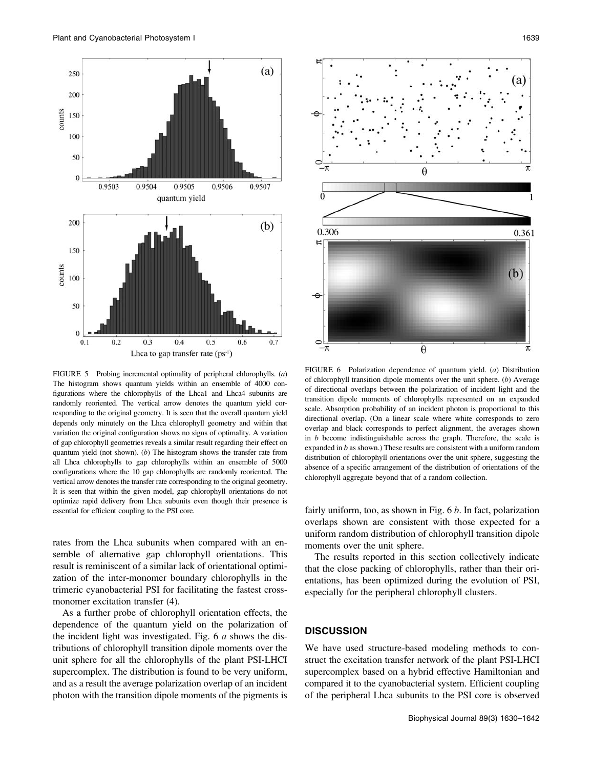

FIGURE 5 Probing incremental optimality of peripheral chlorophylls. (a) The histogram shows quantum yields within an ensemble of 4000 configurations where the chlorophylls of the Lhca1 and Lhca4 subunits are randomly reoriented. The vertical arrow denotes the quantum yield corresponding to the original geometry. It is seen that the overall quantum yield depends only minutely on the Lhca chlorophyll geometry and within that variation the original configuration shows no signs of optimality. A variation of gap chlorophyll geometries reveals a similar result regarding their effect on quantum yield (not shown). (b) The histogram shows the transfer rate from all Lhca chlorophylls to gap chlorophylls within an ensemble of 5000 configurations where the 10 gap chlorophylls are randomly reoriented. The vertical arrow denotes the transfer rate corresponding to the original geometry. It is seen that within the given model, gap chlorophyll orientations do not optimize rapid delivery from Lhca subunits even though their presence is essential for efficient coupling to the PSI core.

rates from the Lhca subunits when compared with an ensemble of alternative gap chlorophyll orientations. This result is reminiscent of a similar lack of orientational optimization of the inter-monomer boundary chlorophylls in the trimeric cyanobacterial PSI for facilitating the fastest crossmonomer excitation transfer (4).

As a further probe of chlorophyll orientation effects, the dependence of the quantum yield on the polarization of the incident light was investigated. Fig.  $6a$  shows the distributions of chlorophyll transition dipole moments over the unit sphere for all the chlorophylls of the plant PSI-LHCI supercomplex. The distribution is found to be very uniform, and as a result the average polarization overlap of an incident photon with the transition dipole moments of the pigments is



FIGURE 6 Polarization dependence of quantum yield. (a) Distribution of chlorophyll transition dipole moments over the unit sphere. (b) Average of directional overlaps between the polarization of incident light and the transition dipole moments of chlorophylls represented on an expanded scale. Absorption probability of an incident photon is proportional to this directional overlap. (On a linear scale where white corresponds to zero overlap and black corresponds to perfect alignment, the averages shown in  $b$  become indistinguishable across the graph. Therefore, the scale is expanded in  $b$  as shown.) These results are consistent with a uniform random distribution of chlorophyll orientations over the unit sphere, suggesting the absence of a specific arrangement of the distribution of orientations of the chlorophyll aggregate beyond that of a random collection.

fairly uniform, too, as shown in Fig.  $6 b$ . In fact, polarization overlaps shown are consistent with those expected for a uniform random distribution of chlorophyll transition dipole moments over the unit sphere.

The results reported in this section collectively indicate that the close packing of chlorophylls, rather than their orientations, has been optimized during the evolution of PSI, especially for the peripheral chlorophyll clusters.

## **DISCUSSION**

We have used structure-based modeling methods to construct the excitation transfer network of the plant PSI-LHCI supercomplex based on a hybrid effective Hamiltonian and compared it to the cyanobacterial system. Efficient coupling of the peripheral Lhca subunits to the PSI core is observed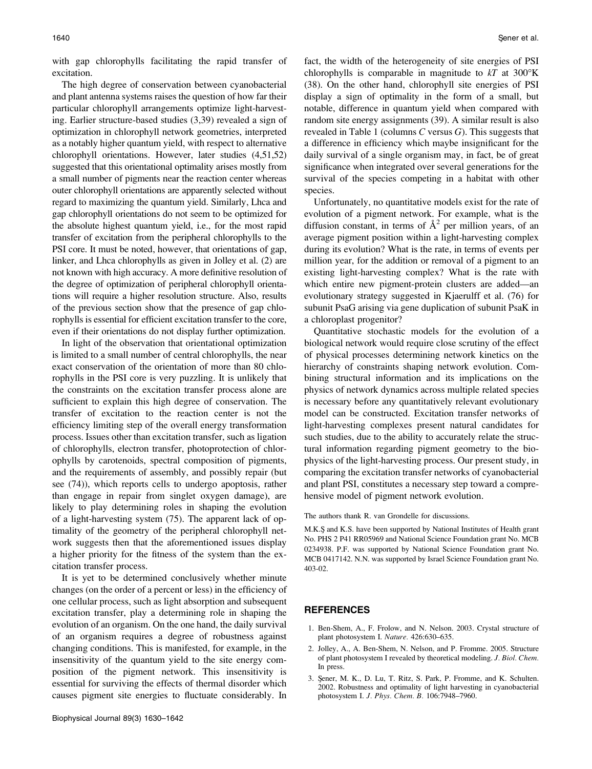with gap chlorophylls facilitating the rapid transfer of excitation.

The high degree of conservation between cyanobacterial and plant antenna systems raises the question of how far their particular chlorophyll arrangements optimize light-harvesting. Earlier structure-based studies (3,39) revealed a sign of optimization in chlorophyll network geometries, interpreted as a notably higher quantum yield, with respect to alternative chlorophyll orientations. However, later studies (4,51,52) suggested that this orientational optimality arises mostly from a small number of pigments near the reaction center whereas outer chlorophyll orientations are apparently selected without regard to maximizing the quantum yield. Similarly, Lhca and gap chlorophyll orientations do not seem to be optimized for the absolute highest quantum yield, i.e., for the most rapid transfer of excitation from the peripheral chlorophylls to the PSI core. It must be noted, however, that orientations of gap, linker, and Lhca chlorophylls as given in Jolley et al. (2) are not known with high accuracy. A more definitive resolution of the degree of optimization of peripheral chlorophyll orientations will require a higher resolution structure. Also, results of the previous section show that the presence of gap chlorophylls is essential for efficient excitation transfer to the core, even if their orientations do not display further optimization.

In light of the observation that orientational optimization is limited to a small number of central chlorophylls, the near exact conservation of the orientation of more than 80 chlorophylls in the PSI core is very puzzling. It is unlikely that the constraints on the excitation transfer process alone are sufficient to explain this high degree of conservation. The transfer of excitation to the reaction center is not the efficiency limiting step of the overall energy transformation process. Issues other than excitation transfer, such as ligation of chlorophylls, electron transfer, photoprotection of chlorophylls by carotenoids, spectral composition of pigments, and the requirements of assembly, and possibly repair (but see (74)), which reports cells to undergo apoptosis, rather than engage in repair from singlet oxygen damage), are likely to play determining roles in shaping the evolution of a light-harvesting system (75). The apparent lack of optimality of the geometry of the peripheral chlorophyll network suggests then that the aforementioned issues display a higher priority for the fitness of the system than the excitation transfer process.

It is yet to be determined conclusively whether minute changes (on the order of a percent or less) in the efficiency of one cellular process, such as light absorption and subsequent excitation transfer, play a determining role in shaping the evolution of an organism. On the one hand, the daily survival of an organism requires a degree of robustness against changing conditions. This is manifested, for example, in the insensitivity of the quantum yield to the site energy composition of the pigment network. This insensitivity is essential for surviving the effects of thermal disorder which causes pigment site energies to fluctuate considerably. In fact, the width of the heterogeneity of site energies of PSI chlorophylls is comparable in magnitude to  $kT$  at 300°K (38). On the other hand, chlorophyll site energies of PSI display a sign of optimality in the form of a small, but notable, difference in quantum yield when compared with random site energy assignments (39). A similar result is also revealed in Table 1 (columns  $C$  versus  $G$ ). This suggests that a difference in efficiency which maybe insignificant for the daily survival of a single organism may, in fact, be of great significance when integrated over several generations for the survival of the species competing in a habitat with other species.

Unfortunately, no quantitative models exist for the rate of evolution of a pigment network. For example, what is the diffusion constant, in terms of  $A<sup>2</sup>$  per million years, of an average pigment position within a light-harvesting complex during its evolution? What is the rate, in terms of events per million year, for the addition or removal of a pigment to an existing light-harvesting complex? What is the rate with which entire new pigment-protein clusters are added—an evolutionary strategy suggested in Kjaerulff et al. (76) for subunit PsaG arising via gene duplication of subunit PsaK in a chloroplast progenitor?

Quantitative stochastic models for the evolution of a biological network would require close scrutiny of the effect of physical processes determining network kinetics on the hierarchy of constraints shaping network evolution. Combining structural information and its implications on the physics of network dynamics across multiple related species is necessary before any quantitatively relevant evolutionary model can be constructed. Excitation transfer networks of light-harvesting complexes present natural candidates for such studies, due to the ability to accurately relate the structural information regarding pigment geometry to the biophysics of the light-harvesting process. Our present study, in comparing the excitation transfer networks of cyanobacterial and plant PSI, constitutes a necessary step toward a comprehensive model of pigment network evolution.

The authors thank R. van Grondelle for discussions.

M.K.Ş and K.S. have been supported by National Institutes of Health grant No. PHS 2 P41 RR05969 and National Science Foundation grant No. MCB 0234938. P.F. was supported by National Science Foundation grant No. MCB 0417142. N.N. was supported by Israel Science Foundation grant No. 403-02.

#### REFERENCES

- 1. Ben-Shem, A., F. Frolow, and N. Nelson. 2003. Crystal structure of plant photosystem I. Nature. 426:630–635.
- 2. Jolley, A., A. Ben-Shem, N. Nelson, and P. Fromme. 2005. Structure of plant photosystem I revealed by theoretical modeling. J. Biol. Chem. In press.
- 3. Şener, M. K., D. Lu, T. Ritz, S. Park, P. Fromme, and K. Schulten. 2002. Robustness and optimality of light harvesting in cyanobacterial photosystem I. J. Phys. Chem. B. 106:7948–7960.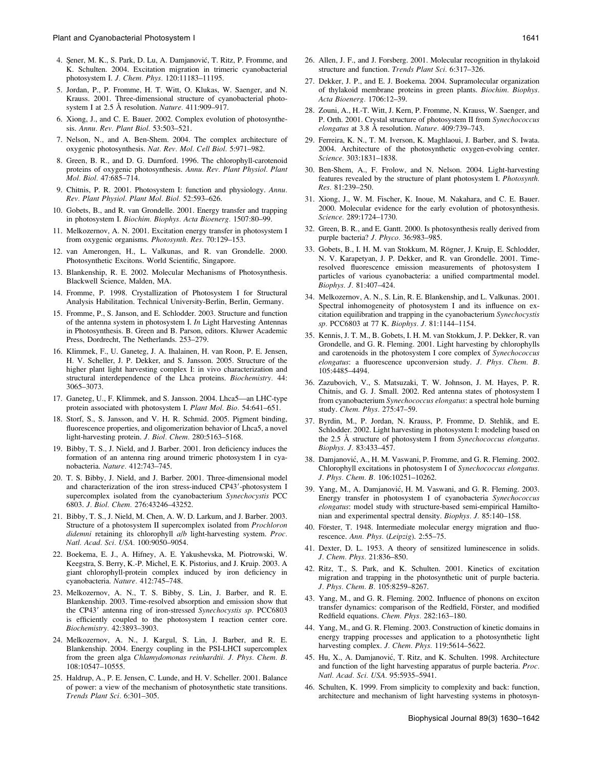- 4. Şener, M. K., S. Park, D. Lu, A. Damjanović, T. Ritz, P. Fromme, and K. Schulten. 2004. Excitation migration in trimeric cyanobacterial photosystem I. J. Chem. Phys. 120:11183–11195.
- 5. Jordan, P., P. Fromme, H. T. Witt, O. Klukas, W. Saenger, and N. Krauss. 2001. Three-dimensional structure of cyanobacterial photosystem I at 2.5 Å resolution. Nature. 411:909-917.
- 6. Xiong, J., and C. E. Bauer. 2002. Complex evolution of photosynthesis. Annu. Rev. Plant Biol. 53:503–521.
- 7. Nelson, N., and A. Ben-Shem. 2004. The complex architecture of oxygenic photosynthesis. Nat. Rev. Mol. Cell Biol. 5:971–982.
- 8. Green, B. R., and D. G. Durnford. 1996. The chlorophyll-carotenoid proteins of oxygenic photosynthesis. Annu. Rev. Plant Physiol. Plant Mol. Biol. 47:685–714.
- 9. Chitnis, P. R. 2001. Photosystem I: function and physiology. Annu. Rev. Plant Physiol. Plant Mol. Biol. 52:593–626.
- 10. Gobets, B., and R. van Grondelle. 2001. Energy transfer and trapping in photosystem I. Biochim. Biophys. Acta Bioenerg. 1507:80–99.
- 11. Melkozernov, A. N. 2001. Excitation energy transfer in photosystem I from oxygenic organisms. Photosynth. Res. 70:129–153.
- 12. van Amerongen, H., L. Valkunas, and R. van Grondelle. 2000. Photosynthetic Excitons. World Scientific, Singapore.
- 13. Blankenship, R. E. 2002. Molecular Mechanisms of Photosynthesis. Blackwell Science, Malden, MA.
- 14. Fromme, P. 1998. Crystallization of Photosystem I for Structural Analysis Habilitation. Technical University-Berlin, Berlin, Germany.
- 15. Fromme, P., S. Janson, and E. Schlodder. 2003. Structure and function of the antenna system in photosystem I. In Light Harvesting Antennas in Photosynthesis. B. Green and B. Parson, editors. Kluwer Academic Press, Dordrecht, The Netherlands. 253–279.
- 16. Klimmek, F., U. Ganeteg, J. A. Ihalainen, H. van Roon, P. E. Jensen, H. V. Scheller, J. P. Dekker, and S. Jansson. 2005. Structure of the higher plant light harvesting complex I: in vivo characterization and structural interdependence of the Lhca proteins. Biochemistry. 44: 3065–3073.
- 17. Ganeteg, U., F. Klimmek, and S. Jansson. 2004. Lhca5—an LHC-type protein associated with photosystem I. Plant Mol. Bio. 54:641–651.
- 18. Storf, S., S. Jansson, and V. H. R. Schmid. 2005. Pigment binding, fluorescence properties, and oligomerization behavior of Lhca5, a novel light-harvesting protein. J. Biol. Chem. 280:5163–5168.
- 19. Bibby, T. S., J. Nield, and J. Barber. 2001. Iron deficiency induces the formation of an antenna ring around trimeric photosystem I in cyanobacteria. Nature. 412:743–745.
- 20. T. S. Bibby, J. Nield, and J. Barber. 2001. Three-dimensional model and characterization of the iron stress-induced CP43'-photosystem I supercomplex isolated from the cyanobacterium Synechocystis PCC 6803. J. Biol. Chem. 276:43246–43252.
- 21. Bibby, T. S., J. Nield, M. Chen, A. W. D. Larkum, and J. Barber. 2003. Structure of a photosystem II supercomplex isolated from Prochloron didemni retaining its chlorophyll a/b light-harvesting system. Proc. Natl. Acad. Sci. USA. 100:9050–9054.
- 22. Boekema, E. J., A. Hifney, A. E. Yakushevska, M. Piotrowski, W. Keegstra, S. Berry, K.-P. Michel, E. K. Pistorius, and J. Kruip. 2003. A giant chlorophyll-protein complex induced by iron deficiency in cyanobacteria. Nature. 412:745–748.
- 23. Melkozernov, A. N., T. S. Bibby, S. Lin, J. Barber, and R. E. Blankenship. 2003. Time-resolved absorption and emission show that the CP43<sup>'</sup> antenna ring of iron-stressed Synechocystis sp. PCC6803 is efficiently coupled to the photosystem I reaction center core. Biochemistry. 42:3893–3903.
- 24. Melkozernov, A. N., J. Kargul, S. Lin, J. Barber, and R. E. Blankenship. 2004. Energy coupling in the PSI-LHCI supercomplex from the green alga Chlamydomonas reinhardtii. J. Phys. Chem. B. 108:10547–10555.
- 25. Haldrup, A., P. E. Jensen, C. Lunde, and H. V. Scheller. 2001. Balance of power: a view of the mechanism of photosynthetic state transitions. Trends Plant Sci. 6:301–305.
- 26. Allen, J. F., and J. Forsberg. 2001. Molecular recognition in thylakoid structure and function. Trends Plant Sci. 6:317–326.
- 27. Dekker, J. P., and E. J. Boekema. 2004. Supramolecular organization of thylakoid membrane proteins in green plants. Biochim. Biophys. Acta Bioenerg. 1706:12–39.
- 28. Zouni, A., H.-T. Witt, J. Kern, P. Fromme, N. Krauss, W. Saenger, and P. Orth. 2001. Crystal structure of photosystem II from Synechococcus elongatus at  $3.8$  Å resolution. Nature. 409:739-743.
- 29. Ferreira, K. N., T. M. Iverson, K. Maghlaoui, J. Barber, and S. Iwata. 2004. Architecture of the photosynthetic oxygen-evolving center. Science. 303:1831–1838.
- 30. Ben-Shem, A., F. Frolow, and N. Nelson. 2004. Light-harvesting features revealed by the structure of plant photosystem I. Photosynth. Res. 81:239–250.
- 31. Xiong, J., W. M. Fischer, K. Inoue, M. Nakahara, and C. E. Bauer. 2000. Molecular evidence for the early evolution of photosynthesis. Science. 289:1724–1730.
- 32. Green, B. R., and E. Gantt. 2000. Is photosynthesis really derived from purple bacteria? J. Phyco. 36:983–985.
- 33. Gobets, B., I. H. M. van Stokkum, M. Rögner, J. Kruip, E. Schlodder, N. V. Karapetyan, J. P. Dekker, and R. van Grondelle. 2001. Timeresolved fluorescence emission measurements of photosystem I particles of various cyanobacteria: a unified compartmental model. Biophys. J. 81:407–424.
- 34. Melkozernov, A. N., S. Lin, R. E. Blankenship, and L. Valkunas. 2001. Spectral inhomogeneity of photosystem I and its influence on excitation equilibration and trapping in the cyanobacterium Synechocystis sp. PCC6803 at 77 K. Biophys. J. 81:1144–1154.
- 35. Kennis, J. T. M., B. Gobets, I. H. M. van Stokkum, J. P. Dekker, R. van Grondelle, and G. R. Fleming. 2001. Light harvesting by chlorophylls and carotenoids in the photosystem I core complex of Synechococcus elongatus: a fluorescence upconversion study. J. Phys. Chem. B. 105:4485–4494.
- 36. Zazubovich, V., S. Matsuzaki, T. W. Johnson, J. M. Hayes, P. R. Chitnis, and G. J. Small. 2002. Red antenna states of photosystem I from cyanobacterium Synechococcus elongatus: a spectral hole burning study. Chem. Phys. 275:47–59.
- 37. Byrdin, M., P. Jordan, N. Krauss, P. Fromme, D. Stehlik, and E. Schlodder. 2002. Light harvesting in photosystem I: modeling based on the 2.5 Å structure of photosystem I from Synechococcus elongatus. Biophys. J. 83:433–457.
- 38. Damjanović, A., H. M. Vaswani, P. Fromme, and G. R. Fleming. 2002. Chlorophyll excitations in photosystem I of Synechococcus elongatus. J. Phys. Chem. B. 106:10251–10262.
- 39. Yang, M., A. Damjanović, H. M. Vaswani, and G. R. Fleming. 2003. Energy transfer in photosystem I of cyanobacteria Synechococcus elongatus: model study with structure-based semi-empirical Hamiltonian and experimental spectral density. Biophys. J. 85:140–158.
- 40. Förster, T. 1948. Intermediate molecular energy migration and fluorescence. Ann. Phys. (Leipzig). 2:55–75.
- 41. Dexter, D. L. 1953. A theory of sensitized luminescence in solids. J. Chem. Phys. 21:836–850.
- 42. Ritz, T., S. Park, and K. Schulten. 2001. Kinetics of excitation migration and trapping in the photosynthetic unit of purple bacteria. J. Phys. Chem. B. 105:8259–8267.
- 43. Yang, M., and G. R. Fleming. 2002. Influence of phonons on exciton transfer dynamics: comparison of the Redfield, Förster, and modified Redfield equations. Chem. Phys. 282:163–180.
- 44. Yang, M., and G. R. Fleming. 2003. Construction of kinetic domains in energy trapping processes and application to a photosynthetic light harvesting complex. J. Chem. Phys. 119:5614-5622.
- 45. Hu, X., A. Damjanović, T. Ritz, and K. Schulten. 1998. Architecture and function of the light harvesting apparatus of purple bacteria. Proc. Natl. Acad. Sci. USA. 95:5935–5941.
- 46. Schulten, K. 1999. From simplicity to complexity and back: function, architecture and mechanism of light harvesting systems in photosyn-